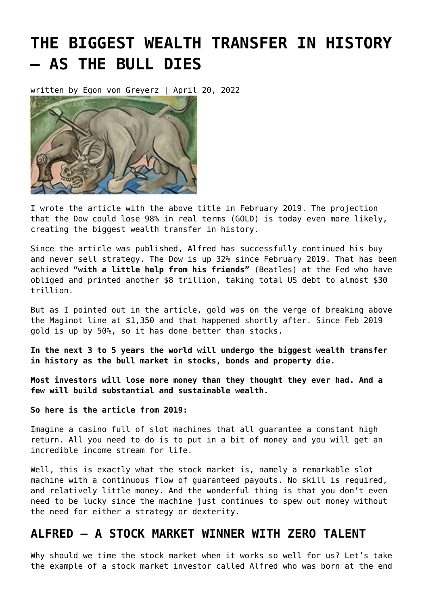# **[THE BIGGEST WEALTH TRANSFER IN HISTORY](https://goldswitzerland.com/biggest-wealth-transfer-in-history/) [– AS THE BULL DIES](https://goldswitzerland.com/biggest-wealth-transfer-in-history/)**

written by Egon von Greyerz | April 20, 2022



I wrote the article with the above title in February 2019. The projection that the Dow could lose 98% in real terms (GOLD) is today even more likely, creating the biggest wealth transfer in history.

Since the article was published, Alfred has successfully continued his buy and never sell strategy. The Dow is up 32% since February 2019. That has been achieved **"with a little help from his friends"** [\(Beatles\)](https://www.youtube.com/watch?v=0C58ttB2-Qg) at the Fed who have obliged and printed another \$8 trillion, taking total US debt to almost \$30 trillion.

But as I pointed out in the article, gold was on the verge of breaking above the Maginot line at \$1,350 and that happened shortly after. Since Feb 2019 [gold is up](https://goldswitzerland.com/charts/gold-price/) by 50%, so it has done better than stocks.

**In the next 3 to 5 years the world will undergo the biggest wealth transfer in history as the bull market in stocks, bonds and property die.**

**Most investors will lose more money than they thought they ever had. And a few will build substantial and sustainable wealth.**

**So here is the article from 2019:**

Imagine a casino full of slot machines that all guarantee a constant high return. All you need to do is to put in a bit of money and you will get an incredible income stream for life.

Well, this is exactly what the stock market is, namely a remarkable slot machine with a continuous flow of guaranteed payouts. No skill is required, and relatively little money. And the wonderful thing is that you don't even need to be lucky since the machine just continues to spew out money without the need for either a strategy or dexterity.

#### **ALFRED – A STOCK MARKET WINNER WITH ZERO TALENT**

Why should we time the stock market when it works so well for us? Let's take the example of a stock market investor called Alfred who was born at the end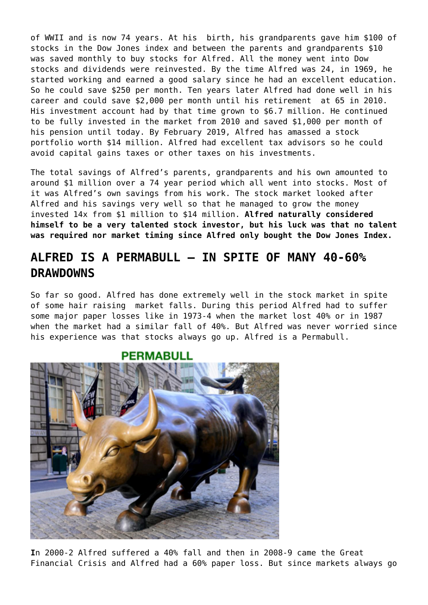of WWII and is now 74 years. At his birth, his grandparents gave him \$100 of stocks in the Dow Jones index and between the parents and grandparents \$10 was saved monthly to buy stocks for Alfred. All the money went into Dow stocks and dividends were reinvested. By the time Alfred was 24, in 1969, he started working and earned a good salary since he had an excellent education. So he could save \$250 per month. Ten years later Alfred had done well in his career and could save \$2,000 per month until his retirement at 65 in 2010. His investment account had by that time grown to \$6.7 million. He continued to be fully invested in the market from 2010 and saved \$1,000 per month of his pension until today. By February 2019, Alfred has amassed a stock portfolio worth \$14 million. Alfred had excellent tax advisors so he could avoid capital gains taxes or other taxes on his investments.

The total savings of Alfred's parents, grandparents and his own amounted to around \$1 million over a 74 year period which all went into stocks. Most of it was Alfred's own savings from his work. The stock market looked after Alfred and his savings very well so that he managed to grow the money invested 14x from \$1 million to \$14 million. **Alfred naturally considered himself to be a very talented stock investor, but his luck was that no talent was required nor market timing since Alfred only bought the Dow Jones Index.**

## **ALFRED IS A PERMABULL – IN SPITE OF MANY 40-60% DRAWDOWNS**

So far so good. Alfred has done extremely well in the stock market in spite of some hair raising market falls. During this period Alfred had to suffer some major paper losses like in 1973-4 when the market lost 40% or in 1987 when the market had a similar fall of 40%. But Alfred was never worried since his experience was that stocks always go up. Alfred is a Permabull.

#### **PERMABULL**



**I**n 2000-2 Alfred suffered a 40% fall and then in 2008-9 came the Great Financial Crisis and Alfred had a 60% paper loss. But since markets always go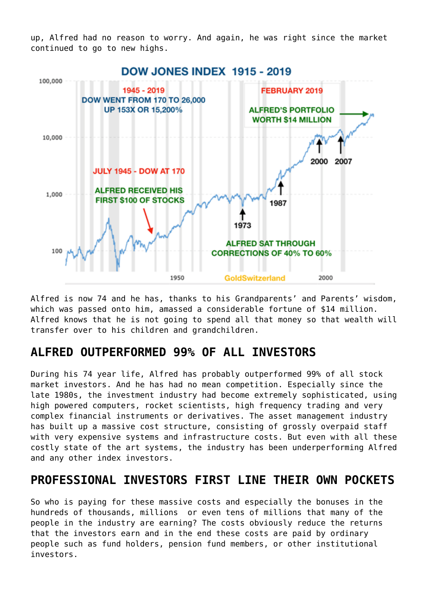up, Alfred had no reason to worry. And again, he was right since the market continued to go to new highs.



Alfred is now 74 and he has, thanks to his Grandparents' and Parents' wisdom, which was passed onto him, amassed a considerable fortune of \$14 million. Alfred knows that he is not going to spend all that money so that wealth will transfer over to his children and grandchildren.

### **ALFRED OUTPERFORMED 99% OF ALL INVESTORS**

During his 74 year life, Alfred has probably outperformed 99% of all stock market investors. And he has had no mean competition. Especially since the late 1980s, the investment industry had become extremely sophisticated, using high powered computers, rocket scientists, high frequency trading and very complex financial instruments or derivatives. The asset management industry has built up a massive cost structure, consisting of grossly overpaid staff with very expensive systems and infrastructure costs. But even with all these costly state of the art systems, the industry has been underperforming Alfred and any other index investors.

#### **PROFESSIONAL INVESTORS FIRST LINE THEIR OWN POCKETS**

So who is paying for these massive costs and especially the bonuses in the hundreds of thousands, millions or even tens of millions that many of the people in the industry are earning? The costs obviously reduce the returns that the investors earn and in the end these costs are paid by ordinary people such as fund holders, pension fund members, or other institutional investors.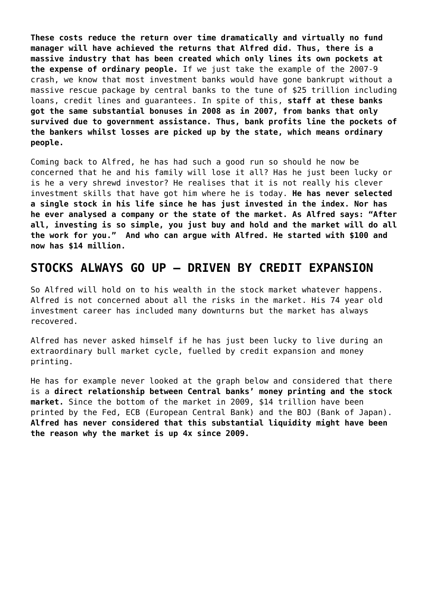**These costs reduce the return over time dramatically and virtually no fund manager will have achieved the returns that Alfred did. Thus, there is a massive industry that has been created which only lines its own pockets at the expense of ordinary people.** If we just take the example of the 2007-9 crash, we know that most investment banks would have gone bankrupt without a massive rescue package by central banks to the tune of \$25 trillion including loans, credit lines and guarantees. In spite of this, **staff at these banks got the same substantial bonuses in 2008 as in 2007, from banks that only survived due to government assistance. Thus, bank profits line the pockets of the bankers whilst losses are picked up by the state, which means ordinary people.**

Coming back to Alfred, he has had such a good run so should he now be concerned that he and his family will lose it all? Has he just been lucky or is he a very shrewd investor? He realises that it is not really his clever investment skills that have got him where he is today. **He has never selected a single stock in his life since he has just invested in the index. Nor has he ever analysed a company or the state of the market. As Alfred says: "After all, investing is so simple, you just buy and hold and the market will do all the work for you." And who can argue with Alfred. He started with \$100 and now has \$14 million.**

#### **STOCKS ALWAYS GO UP – DRIVEN BY CREDIT EXPANSION**

So Alfred will hold on to his wealth in the stock market whatever happens. Alfred is not concerned about all the risks in the market. His 74 year old investment career has included many downturns but the market has always recovered.

Alfred has never asked himself if he has just been lucky to live during an extraordinary bull market cycle, fuelled by credit expansion and money printing.

He has for example never looked at the graph below and considered that there is a **direct relationship between Central banks' money printing and the stock market.** Since the bottom of the market in 2009, \$14 trillion have been printed by the Fed, ECB (European Central Bank) and the BOJ (Bank of Japan). **Alfred has never considered that this substantial liquidity might have been the reason why the market is up 4x since 2009.**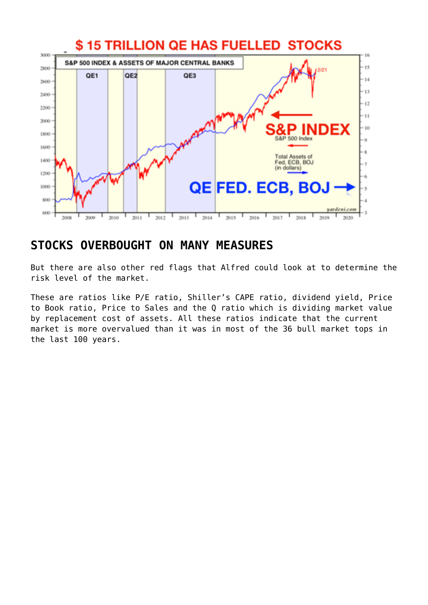

#### **STOCKS OVERBOUGHT ON MANY MEASURES**

But there are also other red flags that Alfred could look at to determine the risk level of the market.

These are ratios like P/E ratio, Shiller's CAPE ratio, dividend yield, Price to Book ratio, Price to Sales and the Q ratio which is dividing market value by replacement cost of assets. All these ratios indicate that the current market is more overvalued than it was in most of the 36 bull market tops in the last 100 years.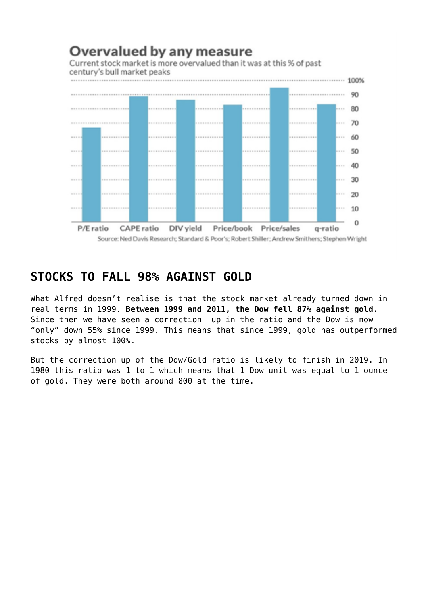

Source: Ned Davis Research; Standard & Poor's; Robert Shiller; Andrew Smithers; Stephen Wright

#### **STOCKS TO FALL 98% AGAINST GOLD**

What Alfred doesn't realise is that the stock market already turned down in real terms in 1999. **Between 1999 and 2011, the Dow fell 87% against gold.** Since then we have seen a correction up in the ratio and the Dow is now "only" down 55% since 1999. This means that since 1999, gold has outperformed stocks by almost 100%.

But the correction up of the Dow/Gold ratio is likely to finish in 2019. In 1980 this ratio was 1 to 1 which means that 1 Dow unit was equal to 1 ounce of gold. They were both around 800 at the time.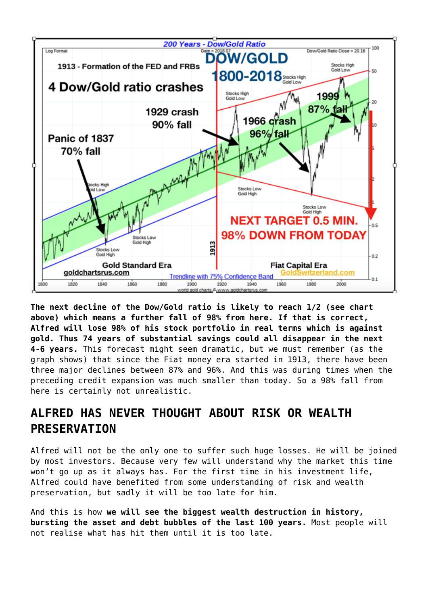

**The next decline of the Dow/Gold ratio is likely to reach 1/2 (see chart above) which means a further fall of 98% from here. If that is correct, Alfred will lose 98% of his stock portfolio in real terms which is against gold. Thus 74 years of substantial savings could all disappear in the next 4-6 years.** This forecast might seem dramatic, but we must remember (as the graph shows) that since the Fiat money era started in 1913, there have been three major declines between 87% and 96%. And this was during times when the preceding credit expansion was much smaller than today. So a 98% fall from here is certainly not unrealistic.

# **ALFRED HAS NEVER THOUGHT ABOUT RISK OR WEALTH PRESERVATION**

Alfred will not be the only one to suffer such huge losses. He will be joined by most investors. Because very few will understand why the market this time won't go up as it always has. For the first time in his investment life, Alfred could have benefited from some understanding of risk and wealth preservation, but sadly it will be too late for him.

And this is how **we will see the biggest wealth destruction in history, bursting the asset and debt bubbles of the last 100 years.** Most people will not realise what has hit them until it is too late.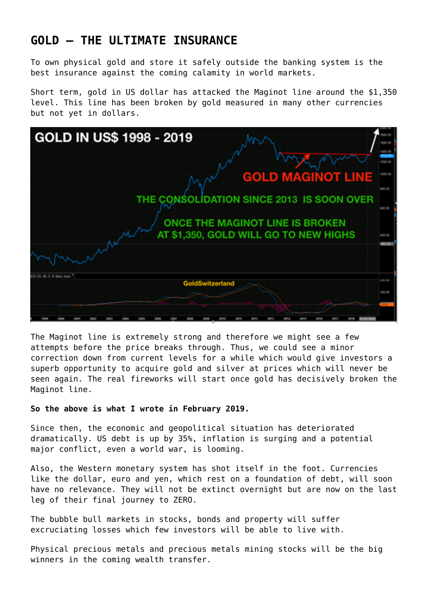## **GOLD – THE ULTIMATE INSURANCE**

To own physical gold and store it safely outside the banking system is the best insurance against the coming calamity in world markets.

Short term, gold in US dollar has attacked the Maginot line around the \$1,350 level. This line has been broken by gold measured in many other currencies but not yet in dollars.



The Maginot line is extremely strong and therefore we might see a few attempts before the price breaks through. Thus, we could see a minor correction down from current levels for a while which would give investors a superb opportunity to acquire gold and silver at prices which will never be seen again. The real fireworks will start once gold has decisively broken the Maginot line.

#### **So the above is what I wrote in February 2019.**

Since then, the economic and geopolitical situation has deteriorated dramatically. US debt is up by 35%, inflation is surging and a potential major conflict, even a world war, is looming.

Also, the Western monetary system has shot itself in the foot. Currencies like the dollar, euro and yen, which rest on a foundation of debt, will soon have no relevance. They will not be extinct overnight but are now on the last leg of their final journey to ZERO.

The bubble bull markets in stocks, bonds and property will suffer excruciating losses which few investors will be able to live with.

Physical precious metals and precious metals mining stocks will be the big winners in the coming wealth transfer.